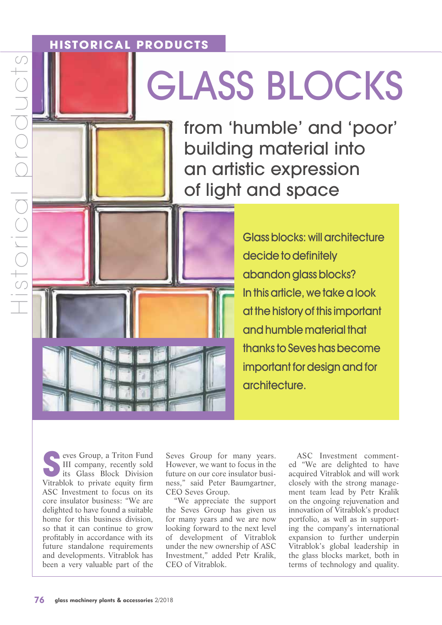## **HISTORICAL PRODUCTS**

# GLASS BLOCKS

from 'humble' and 'poor' building material into an artistic expression of light and space

> Glass blocks: will architecture decide to definitely abandon glass blocks? In this article, we take a look at the history of this important and humble material that thanks to Seves has become important for design and for architecture.

**S**eves Group, a Triton Fund<br>III company, recently sold<br>its Glass Block Division<br>Vitrablok to private equity firm III company, recently sold its Glass Block Division Vitrablok to private equity firm ASC Investment to focus on its core insulator business: "We are delighted to have found a suitable home for this business division, so that it can continue to grow profitably in accordance with its future standalone requirements and developments. Vitrablok has been a very valuable part of the

Seves Group for many years. However, we want to focus in the future on our core insulator business," said Peter Baumgartner, CEO Seves Group.

"We appreciate the support the Seves Group has given us for many years and we are now looking forward to the next level of development of Vitrablok under the new ownership of ASC Investment," added Petr Kralik, CEO of Vitrablok.

ASC Investment commented "We are delighted to have acquired Vitrablok and will work closely with the strong management team lead by Petr Kralik on the ongoing rejuvenation and innovation of Vitrablok's product portfolio, as well as in supporting the company's international expansion to further underpin Vitrablok's global leadership in the glass blocks market, both in terms of technology and quality.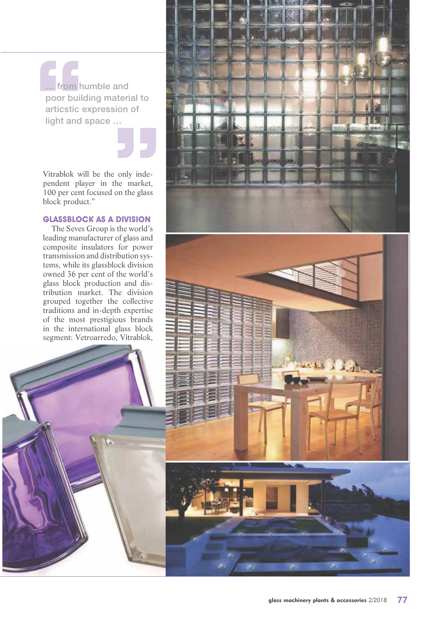**… from humble and poor building material to articstic expression of light and space …**

Vitrablok will be the only independent player in the market, 100 per cent focused on the glass block product."

### **GLASSBLOCK AS A DIVISION**

The Seves Group is the world's leading manufacturer of glass and composite insulators for power transmission and distribution systems, while its glassblock division owned 36 per cent of the world's glass block production and distribution market. The division grouped together the collective traditions and in-depth expertise of the most prestigious brands in the international glass block segment: Vetroarredo, Vitrablok,

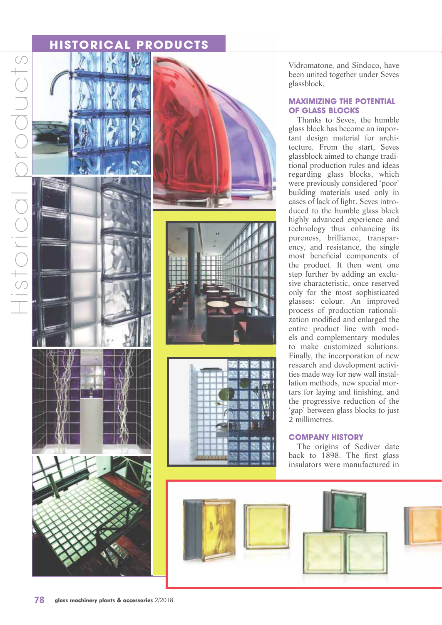## **HISTORICAL PRODUCTS**





Vidromatone, and Sindoco, have been united together under Seves glassblock.

### **MAXIMIZING THE POTENTIAL OF GLASS BLOCKS**

Thanks to Seves, the humble glass block has become an important design material for architecture. From the start, Seves glassblock aimed to change traditional production rules and ideas regarding glass blocks, which were previously considered 'poor' building materials used only in cases of lack of light. Seves introduced to the humble glass block highly advanced experience and technology thus enhancing its pureness, brilliance, transparency, and resistance, the single most beneficial components of the product. It then went one step further by adding an exclusive characteristic, once reserved only for the most sophisticated glasses: colour. An improved process of production rationalization modified and enlarged the entire product line with models and complementary modules to make customized solutions. Finally, the incorporation of new research and development activities made way for new wall installation methods, new special mortars for laying and finishing, and the progressive reduction of the 'gap' between glass blocks to just 2 millimetres.

#### **COMPANY HISTORY**

The origins of Sediver date back to 1898. The first glass insulators were manufactured in

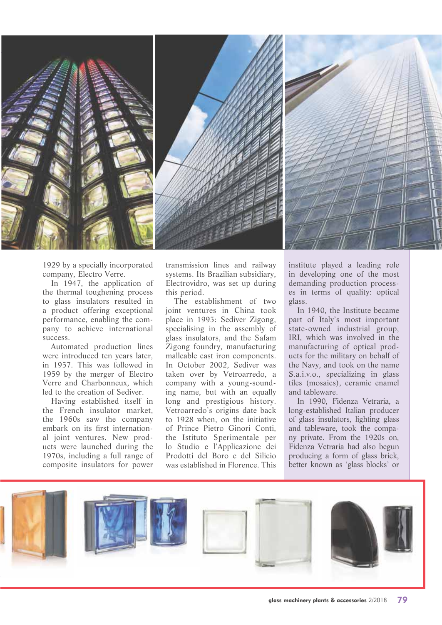

1929 by a specially incorporated company, Electro Verre.

In 1947, the application of the thermal toughening process to glass insulators resulted in a product offering exceptional performance, enabling the company to achieve international success.

Automated production lines were introduced ten years later, in 1957. This was followed in 1959 by the merger of Electro Verre and Charbonneux, which led to the creation of Sediver.

Having established itself in the French insulator market, the 1960s saw the company embark on its first international joint ventures. New products were launched during the 1970s, including a full range of composite insulators for power

transmission lines and railway systems. Its Brazilian subsidiary, Electrovidro, was set up during this period.

The establishment of two joint ventures in China took place in 1993: Sediver Zigong, specialising in the assembly of glass insulators, and the Safam Zigong foundry, manufacturing malleable cast iron components. In October 2002, Sediver was taken over by Vetroarredo, a company with a young-sounding name, but with an equally long and prestigious history. Vetroarredo's origins date back to 1928 when, on the initiative of Prince Pietro Ginori Conti, the Istituto Sperimentale per lo Studio e l'Applicazione dei Prodotti del Boro e del Silicio was established in Florence. This

institute played a leading role in developing one of the most demanding production processes in terms of quality: optical glass.

In 1940, the Institute became part of Italy's most important state-owned industrial group, IRI, which was involved in the manufacturing of optical products for the military on behalf of the Navy, and took on the name S.a.i.v.o., specializing in glass tiles (mosaics), ceramic enamel and tableware.

In 1990, Fidenza Vetraria, a long-established Italian producer of glass insulators, lighting glass and tableware, took the company private. From the 1920s on, Fidenza Vetraria had also begun producing a form of glass brick, better known as 'glass blocks' or